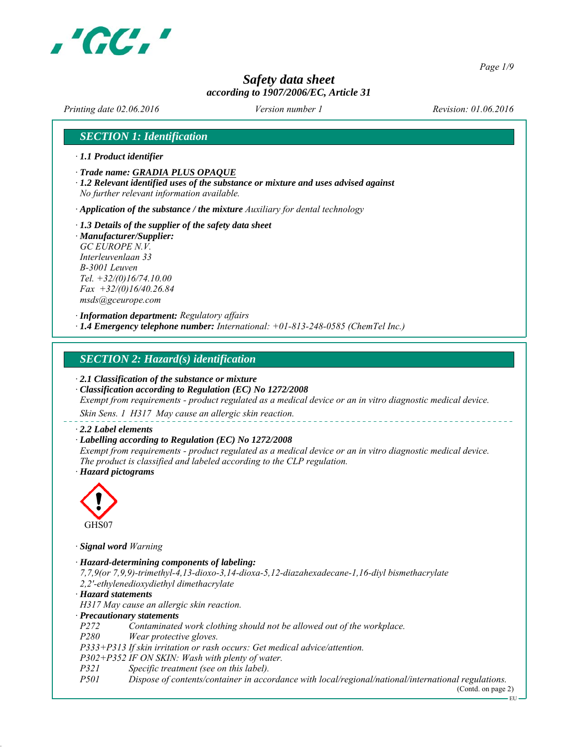

*Page 1/9*

# *Safety data sheet according to 1907/2006/EC, Article 31*

*Printing date 02.06.2016 Revision: 01.06.2016 Version number 1*

# *SECTION 1: Identification*

- *∙ 1.1 Product identifier*
- *∙ Trade name: GRADIA PLUS OPAQUE*
- *∙ 1.2 Relevant identified uses of the substance or mixture and uses advised against No further relevant information available.*
- *∙ Application of the substance / the mixture Auxiliary for dental technology*
- *∙ 1.3 Details of the supplier of the safety data sheet*
- *∙ Manufacturer/Supplier: GC EUROPE N.V. Interleuvenlaan 33 B-3001 Leuven Tel. +32/(0)16/74.10.00 Fax +32/(0)16/40.26.84 msds@gceurope.com*
- *∙ Information department: Regulatory affairs ∙ 1.4 Emergency telephone number: International: +01-813-248-0585 (ChemTel Inc.)*

# *SECTION 2: Hazard(s) identification*

- *∙ 2.1 Classification of the substance or mixture*
- *∙ Classification according to Regulation (EC) No 1272/2008 Exempt from requirements - product regulated as a medical device or an in vitro diagnostic medical device.*
- *Skin Sens. 1 H317 May cause an allergic skin reaction.*

#### *∙ 2.2 Label elements*

- *∙ Labelling according to Regulation (EC) No 1272/2008 Exempt from requirements - product regulated as a medical device or an in vitro diagnostic medical device. The product is classified and labeled according to the CLP regulation.*
- *∙ Hazard pictograms*



- *∙ Signal word Warning*
- *∙ Hazard-determining components of labeling: 7,7,9(or 7,9,9)-trimethyl-4,13-dioxo-3,14-dioxa-5,12-diazahexadecane-1,16-diyl bismethacrylate 2,2'-ethylenedioxydiethyl dimethacrylate ∙ Hazard statements H317 May cause an allergic skin reaction. ∙ Precautionary statements P272 Contaminated work clothing should not be allowed out of the workplace. P280 Wear protective gloves.*
- *P333+P313 If skin irritation or rash occurs: Get medical advice/attention.*
- *P302+P352 IF ON SKIN: Wash with plenty of water.*
- *P321 Specific treatment (see on this label).*
- *P501 Dispose of contents/container in accordance with local/regional/national/international regulations.*

(Contd. on page 2)  $-EU$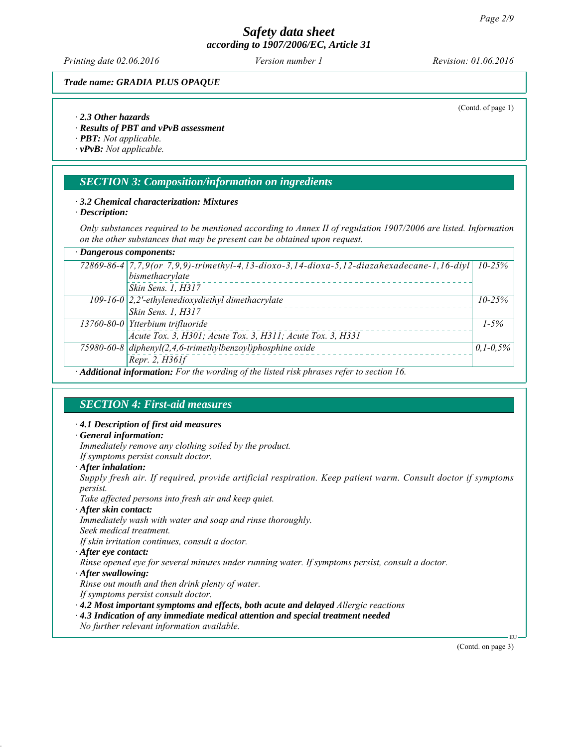*Printing date 02.06.2016 Revision: 01.06.2016 Version number 1*

(Contd. of page 1)

### *Trade name: GRADIA PLUS OPAQUE*

#### *∙ 2.3 Other hazards*

*∙ Results of PBT and vPvB assessment*

*∙ PBT: Not applicable.*

*∙ vPvB: Not applicable.*

# *SECTION 3: Composition/information on ingredients*

#### *∙ 3.2 Chemical characterization: Mixtures*

*∙ Description:*

*Only substances required to be mentioned according to Annex II of regulation 1907/2006 are listed. Information on the other substances that may be present can be obtained upon request.*

| $\cdot$ Dangerous components: |                                                                                                        |               |
|-------------------------------|--------------------------------------------------------------------------------------------------------|---------------|
|                               | $72869-86-4$ 7,7,9(or 7,9,9)-trimethyl-4,13-dioxo-3,14-dioxa-5,12-diazahexadecane-1,16-diyl            | $10 - 25\%$   |
|                               | bismethacrylate                                                                                        |               |
|                               | Skin Sens. 1, H317                                                                                     |               |
|                               | 109-16-0 $\left  2,2\right\rangle$ -ethylenedioxydiethyl dimethacrylate                                | $10 - 25\%$   |
|                               | Skin Sens. 1, H317                                                                                     |               |
|                               | 13760-80-0 Ytterbium trifluoride                                                                       | $1 - 5\%$     |
|                               | Acute Tox. 3, H301; Acute Tox. 3, H311; Acute Tox. 3, H331                                             |               |
|                               | 75980-60-8 diphenyl(2,4,6-trimethylbenzoyl)phosphine oxide                                             | $0.1 - 0.5\%$ |
|                               | Repr. 2, $H361f$                                                                                       |               |
|                               | $\cdot$ <b>Additional information:</b> For the wording of the listed risk phrases refer to section 16. |               |

# *SECTION 4: First-aid measures*

#### *∙ 4.1 Description of first aid measures*

#### *∙ General information:*

*Immediately remove any clothing soiled by the product.*

*If symptoms persist consult doctor.*

*∙ After inhalation:*

*Supply fresh air. If required, provide artificial respiration. Keep patient warm. Consult doctor if symptoms persist.*

*Take affected persons into fresh air and keep quiet.*

*∙ After skin contact:*

*Immediately wash with water and soap and rinse thoroughly.*

*Seek medical treatment.*

*If skin irritation continues, consult a doctor.*

*∙ After eye contact:*

*Rinse opened eye for several minutes under running water. If symptoms persist, consult a doctor.*

*∙ After swallowing:*

*Rinse out mouth and then drink plenty of water.*

*If symptoms persist consult doctor.*

*∙ 4.2 Most important symptoms and effects, both acute and delayed Allergic reactions*

- *∙ 4.3 Indication of any immediate medical attention and special treatment needed*
- *No further relevant information available.*

(Contd. on page 3)

EU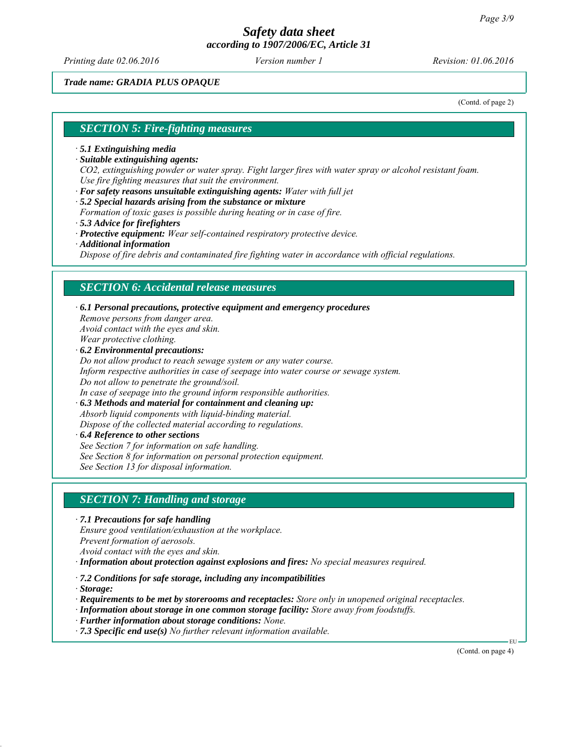*Printing date 02.06.2016 Revision: 01.06.2016 Version number 1*

*Trade name: GRADIA PLUS OPAQUE*

(Contd. of page 2)

### *SECTION 5: Fire-fighting measures*

- *∙ 5.1 Extinguishing media*
- *∙ Suitable extinguishing agents:*

*CO2, extinguishing powder or water spray. Fight larger fires with water spray or alcohol resistant foam. Use fire fighting measures that suit the environment.*

- *∙ For safety reasons unsuitable extinguishing agents: Water with full jet*
- *∙ 5.2 Special hazards arising from the substance or mixture*
- *Formation of toxic gases is possible during heating or in case of fire.*
- *∙ 5.3 Advice for firefighters*
- *∙ Protective equipment: Wear self-contained respiratory protective device.*
- *∙ Additional information*

*Dispose of fire debris and contaminated fire fighting water in accordance with official regulations.*

### *SECTION 6: Accidental release measures*

*∙ 6.1 Personal precautions, protective equipment and emergency procedures Remove persons from danger area. Avoid contact with the eyes and skin. Wear protective clothing.*

*∙ 6.2 Environmental precautions: Do not allow product to reach sewage system or any water course. Inform respective authorities in case of seepage into water course or sewage system. Do not allow to penetrate the ground/soil. In case of seepage into the ground inform responsible authorities.*

*∙ 6.3 Methods and material for containment and cleaning up: Absorb liquid components with liquid-binding material. Dispose of the collected material according to regulations.*

*∙ 6.4 Reference to other sections*

*See Section 7 for information on safe handling.*

*See Section 8 for information on personal protection equipment.*

*See Section 13 for disposal information.*

# *SECTION 7: Handling and storage*

*∙ 7.1 Precautions for safe handling*

*Ensure good ventilation/exhaustion at the workplace.*

*Prevent formation of aerosols.*

*Avoid contact with the eyes and skin.*

- *∙ Information about protection against explosions and fires: No special measures required.*
- *∙ 7.2 Conditions for safe storage, including any incompatibilities*

*∙ Storage:*

- *∙ Requirements to be met by storerooms and receptacles: Store only in unopened original receptacles.*
- *∙ Information about storage in one common storage facility: Store away from foodstuffs.*
- *∙ Further information about storage conditions: None.*
- *∙ 7.3 Specific end use(s) No further relevant information available.*

(Contd. on page 4)

EU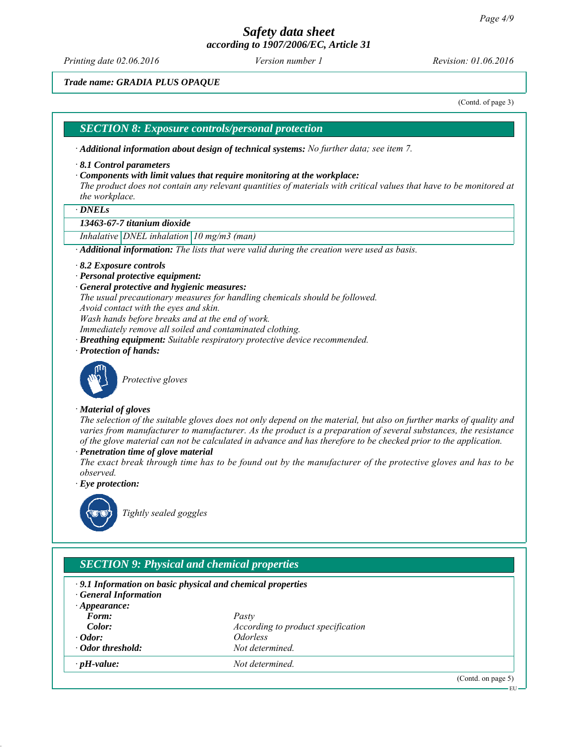*Printing date 02.06.2016 Revision: 01.06.2016 Version number 1*

# *Trade name: GRADIA PLUS OPAQUE*

(Contd. of page 3)

on page 5) EU

### *SECTION 8: Exposure controls/personal protection*

*∙ Additional information about design of technical systems: No further data; see item 7.*

#### *∙ 8.1 Control parameters*

*∙ Components with limit values that require monitoring at the workplace:*

*The product does not contain any relevant quantities of materials with critical values that have to be monitored at the workplace.*

*∙ DNELs*

#### *13463-67-7 titanium dioxide*

*Inhalative DNEL inhalation 10 mg/m3 (man)*

*∙ Additional information: The lists that were valid during the creation were used as basis.*

- *∙ 8.2 Exposure controls*
- *∙ Personal protective equipment:*
- *∙ General protective and hygienic measures:*
- *The usual precautionary measures for handling chemicals should be followed.*
- *Avoid contact with the eyes and skin.*

*Wash hands before breaks and at the end of work.*

- *Immediately remove all soiled and contaminated clothing.*
- *∙ Breathing equipment: Suitable respiratory protective device recommended.*
- *∙ Protection of hands:*



*Protective gloves*

#### *∙ Material of gloves*

*The selection of the suitable gloves does not only depend on the material, but also on further marks of quality and varies from manufacturer to manufacturer. As the product is a preparation of several substances, the resistance of the glove material can not be calculated in advance and has therefore to be checked prior to the application. ∙ Penetration time of glove material*

*The exact break through time has to be found out by the manufacturer of the protective gloves and has to be observed.*

*∙ Eye protection:*



*Tightly sealed goggles*

# *SECTION 9: Physical and chemical properties*

| $\cdot$ 9.1 Information on basic physical and chemical properties<br><b>General Information</b> |                                    |          |
|-------------------------------------------------------------------------------------------------|------------------------------------|----------|
| $\cdot$ Appearance:                                                                             |                                    |          |
| Form:                                                                                           | Pasty                              |          |
| Color:                                                                                          | According to product specification |          |
| $\cdot$ Odor:                                                                                   | <i><u><b>Odorless</b></u></i>      |          |
| $\cdot$ Odor threshold:                                                                         | Not determined                     |          |
| $\cdot$ pH-value:                                                                               | Not determined                     |          |
|                                                                                                 |                                    | (Contd.) |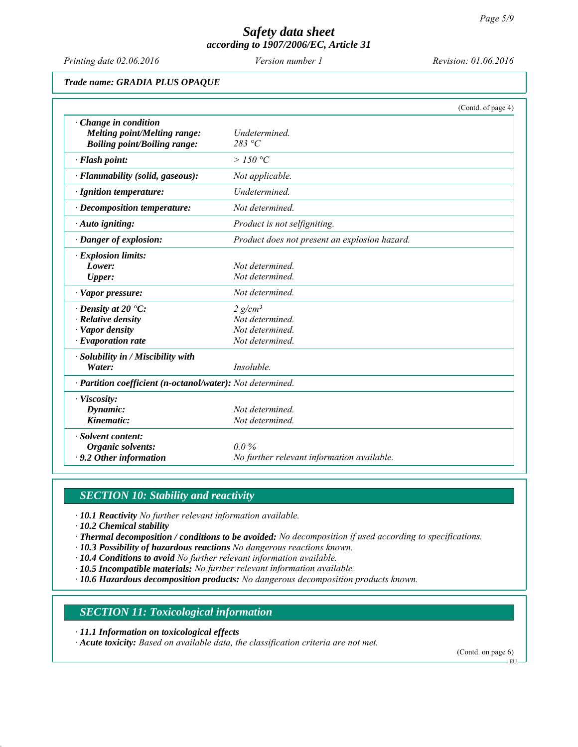*Printing date 02.06.2016 Revision: 01.06.2016 Version number 1*

## *Trade name: GRADIA PLUS OPAQUE*

|                                                                                                       |                                                                    | (Contd. of page 4) |
|-------------------------------------------------------------------------------------------------------|--------------------------------------------------------------------|--------------------|
| Change in condition<br><b>Melting point/Melting range:</b><br><b>Boiling point/Boiling range:</b>     | Undetermined.<br>283 °C                                            |                    |
| · Flash point:                                                                                        | >150 °C                                                            |                    |
| · Flammability (solid, gaseous):                                                                      | Not applicable.                                                    |                    |
| · Ignition temperature:                                                                               | Undetermined.                                                      |                    |
| · Decomposition temperature:                                                                          | Not determined.                                                    |                    |
| · Auto igniting:                                                                                      | Product is not selfigniting.                                       |                    |
| · Danger of explosion:                                                                                | Product does not present an explosion hazard.                      |                    |
| · Explosion limits:<br>Lower:<br><b>Upper:</b>                                                        | Not determined.<br>Not determined.                                 |                    |
| · Vapor pressure:                                                                                     | Not determined.                                                    |                    |
| $\cdot$ Density at 20 $\cdot$ C:<br>· Relative density<br>· Vapor density<br>$\cdot$ Evaporation rate | $2 g/cm^3$<br>Not determined.<br>Not determined<br>Not determined. |                    |
| · Solubility in / Miscibility with<br>Water:                                                          | <i>Insoluble</i>                                                   |                    |
| · Partition coefficient (n-octanol/water): Not determined.                                            |                                                                    |                    |
| · Viscosity:<br>Dynamic:<br>Kinematic:                                                                | Not determined.<br>Not determined.                                 |                    |
| · Solvent content:<br>Organic solvents:<br>$\cdot$ 9.2 Other information                              | $0.0\%$<br>No further relevant information available.              |                    |

# *SECTION 10: Stability and reactivity*

*∙ 10.1 Reactivity No further relevant information available.*

*∙ 10.2 Chemical stability*

*∙ Thermal decomposition / conditions to be avoided: No decomposition if used according to specifications.*

*∙ 10.3 Possibility of hazardous reactions No dangerous reactions known.*

*∙ 10.4 Conditions to avoid No further relevant information available.*

*∙ 10.5 Incompatible materials: No further relevant information available.*

*∙ 10.6 Hazardous decomposition products: No dangerous decomposition products known.*

*SECTION 11: Toxicological information*

*∙ 11.1 Information on toxicological effects*

*∙ Acute toxicity: Based on available data, the classification criteria are not met.*

(Contd. on page 6)

EU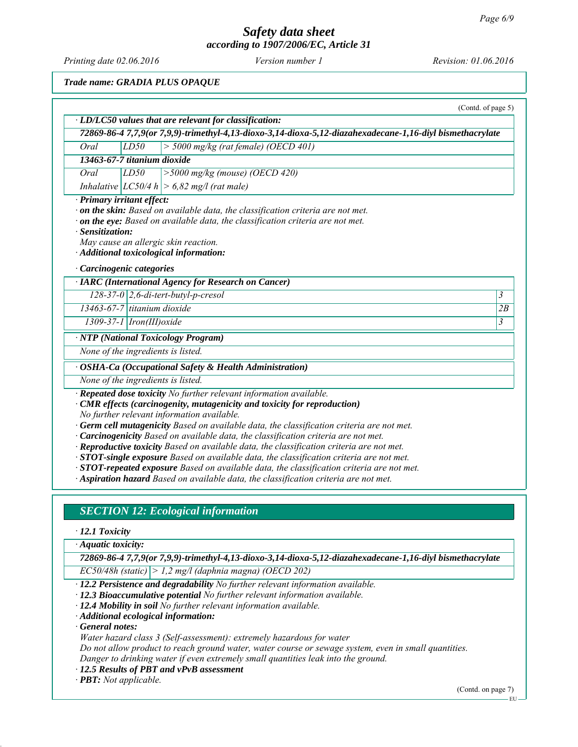# *Safety data sheet*

*according to 1907/2006/EC, Article 31*

*Printing date 02.06.2016 Revision: 01.06.2016 Version number 1*

*Trade name: GRADIA PLUS OPAQUE*

|                                                | · LD/LC50 values that are relevant for classification:                                                                                                                                                                                                                                                                                                                                                                                                                                                                                                                                                                                                                                                                                                                            | (Contd. of page 5) |
|------------------------------------------------|-----------------------------------------------------------------------------------------------------------------------------------------------------------------------------------------------------------------------------------------------------------------------------------------------------------------------------------------------------------------------------------------------------------------------------------------------------------------------------------------------------------------------------------------------------------------------------------------------------------------------------------------------------------------------------------------------------------------------------------------------------------------------------------|--------------------|
|                                                | 72869-86-4 7,7,9(or 7,9,9)-trimethyl-4,13-dioxo-3,14-dioxa-5,12-diazahexadecane-1,16-diyl bismethacrylate                                                                                                                                                                                                                                                                                                                                                                                                                                                                                                                                                                                                                                                                         |                    |
| Oral                                           | $>$ 5000 mg/kg (rat female) (OECD 401)<br>LD50                                                                                                                                                                                                                                                                                                                                                                                                                                                                                                                                                                                                                                                                                                                                    |                    |
|                                                | 13463-67-7 titanium dioxide                                                                                                                                                                                                                                                                                                                                                                                                                                                                                                                                                                                                                                                                                                                                                       |                    |
| Oral                                           | LD50<br>$>$ 5000 mg/kg (mouse) (OECD 420)                                                                                                                                                                                                                                                                                                                                                                                                                                                                                                                                                                                                                                                                                                                                         |                    |
|                                                | Inhalative $ LCS0/4 h  > 6.82$ mg/l (rat male)                                                                                                                                                                                                                                                                                                                                                                                                                                                                                                                                                                                                                                                                                                                                    |                    |
| · Primary irritant effect:<br>· Sensitization: | on the skin: Based on available data, the classification criteria are not met.<br>on the eye: Based on available data, the classification criteria are not met.<br>May cause an allergic skin reaction.<br>· Additional toxicological information:                                                                                                                                                                                                                                                                                                                                                                                                                                                                                                                                |                    |
|                                                | · Carcinogenic categories                                                                                                                                                                                                                                                                                                                                                                                                                                                                                                                                                                                                                                                                                                                                                         |                    |
|                                                | · IARC (International Agency for Research on Cancer)                                                                                                                                                                                                                                                                                                                                                                                                                                                                                                                                                                                                                                                                                                                              |                    |
|                                                | $128-37-0$ 2,6-di-tert-butyl-p-cresol                                                                                                                                                                                                                                                                                                                                                                                                                                                                                                                                                                                                                                                                                                                                             | 3                  |
|                                                | $13463-67-7$ titanium dioxide                                                                                                                                                                                                                                                                                                                                                                                                                                                                                                                                                                                                                                                                                                                                                     | 2B                 |
|                                                | $1309-37-1$ Iron(III) oxide                                                                                                                                                                                                                                                                                                                                                                                                                                                                                                                                                                                                                                                                                                                                                       | $\mathfrak{Z}$     |
|                                                | · NTP (National Toxicology Program)                                                                                                                                                                                                                                                                                                                                                                                                                                                                                                                                                                                                                                                                                                                                               |                    |
|                                                | None of the ingredients is listed.                                                                                                                                                                                                                                                                                                                                                                                                                                                                                                                                                                                                                                                                                                                                                |                    |
|                                                | · OSHA-Ca (Occupational Safety & Health Administration)                                                                                                                                                                                                                                                                                                                                                                                                                                                                                                                                                                                                                                                                                                                           |                    |
|                                                | None of the ingredients is listed.                                                                                                                                                                                                                                                                                                                                                                                                                                                                                                                                                                                                                                                                                                                                                |                    |
|                                                | · Repeated dose toxicity No further relevant information available.<br>$\cdot$ CMR effects (carcinogenity, mutagenicity and toxicity for reproduction)<br>No further relevant information available.<br>Germ cell mutagenicity Based on available data, the classification criteria are not met.<br>Carcinogenicity Based on available data, the classification criteria are not met.<br>· Reproductive toxicity Based on available data, the classification criteria are not met.<br>$\cdot$ STOT-single exposure Based on available data, the classification criteria are not met.<br>$\cdot$ STOT-repeated exposure Based on available data, the classification criteria are not met.<br>· Aspiration hazard Based on available data, the classification criteria are not met. |                    |

*∙ 12.1 Toxicity*

*∙ Aquatic toxicity:*

*72869-86-4 7,7,9(or 7,9,9)-trimethyl-4,13-dioxo-3,14-dioxa-5,12-diazahexadecane-1,16-diyl bismethacrylate*

*EC50/48h (static) > 1,2 mg/l (daphnia magna) (OECD 202)*

*∙ 12.2 Persistence and degradability No further relevant information available.*

*∙ 12.3 Bioaccumulative potential No further relevant information available.*

*∙ 12.4 Mobility in soil No further relevant information available.*

*∙ Additional ecological information:*

*∙ General notes:*

*Water hazard class 3 (Self-assessment): extremely hazardous for water*

*Do not allow product to reach ground water, water course or sewage system, even in small quantities.*

*Danger to drinking water if even extremely small quantities leak into the ground.*

*∙ 12.5 Results of PBT and vPvB assessment*

*∙ PBT: Not applicable.*

(Contd. on page 7)

EU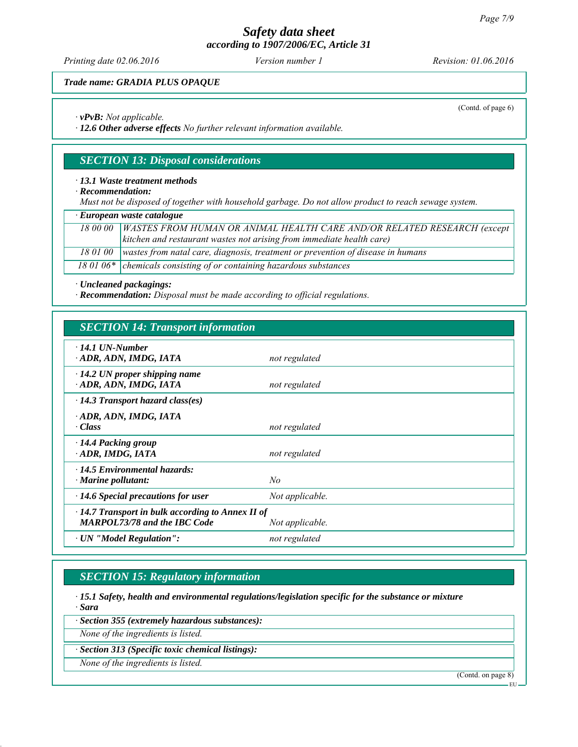*Printing date 02.06.2016 Revision: 01.06.2016 Version number 1*

(Contd. of page 6)

*Trade name: GRADIA PLUS OPAQUE*

*∙ vPvB: Not applicable.*

*∙ 12.6 Other adverse effects No further relevant information available.*

# *SECTION 13: Disposal considerations*

#### *∙ 13.1 Waste treatment methods*

*∙ Recommendation:*

*Must not be disposed of together with household garbage. Do not allow product to reach sewage system.*

*∙ European waste catalogue*

| 18 00 00   WASTES FROM HUMAN OR ANIMAL HEALTH CARE AND/OR RELATED RESEARCH (except         |
|--------------------------------------------------------------------------------------------|
| kitchen and restaurant wastes not arising from immediate health care)                      |
| 18 01 00   wastes from natal care, diagnosis, treatment or prevention of disease in humans |
| 18 01 06 $*$ chemicals consisting of or containing hazardous substances                    |

*∙ Uncleaned packagings:*

*∙ Recommendation: Disposal must be made according to official regulations.*

# *SECTION 14: Transport information*

| $\cdot$ 14.1 UN-Number<br>ADR, ADN, IMDG, IATA                                                 | not regulated   |
|------------------------------------------------------------------------------------------------|-----------------|
| $\cdot$ 14.2 UN proper shipping name<br>ADR, ADN, IMDG, IATA                                   | not regulated   |
| $\cdot$ 14.3 Transport hazard class(es)                                                        |                 |
| ADR, ADN, IMDG, IATA<br>$\cdot Class$                                                          | not regulated   |
| · 14.4 Packing group<br>ADR, IMDG, IATA                                                        | not regulated   |
| $\cdot$ 14.5 Environmental hazards:<br>$\cdot$ Marine pollutant:                               | No              |
| $\cdot$ 14.6 Special precautions for user                                                      | Not applicable. |
| $\cdot$ 14.7 Transport in bulk according to Annex II of<br><b>MARPOL73/78 and the IBC Code</b> | Not applicable. |
| · UN "Model Regulation":                                                                       | not regulated   |

# *SECTION 15: Regulatory information*

*∙ 15.1 Safety, health and environmental regulations/legislation specific for the substance or mixture ∙ Sara*

*∙ Section 355 (extremely hazardous substances):*

*None of the ingredients is listed.*

*∙ Section 313 (Specific toxic chemical listings):*

*None of the ingredients is listed.*

(Contd. on page 8)

EU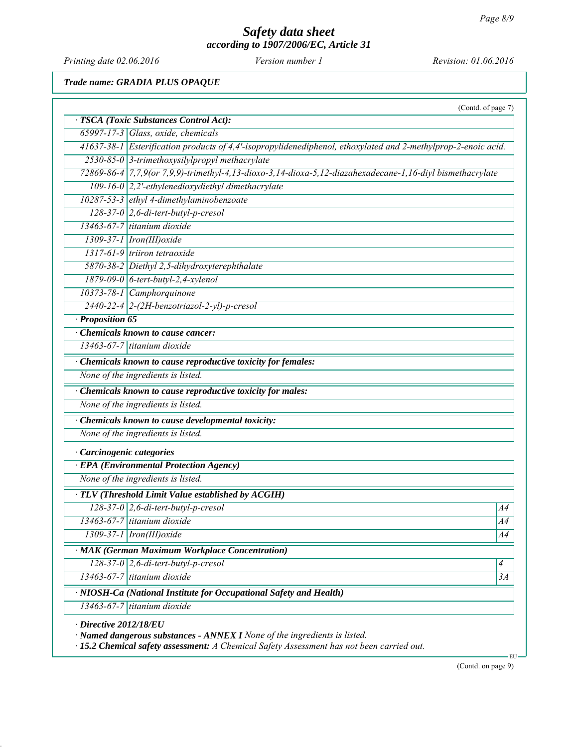*Printing date 02.06.2016 Revision: 01.06.2016 Version number 1*

*Trade name: GRADIA PLUS OPAQUE*

|                        | (Contd. of page 7)                                                                                            |
|------------------------|---------------------------------------------------------------------------------------------------------------|
|                        | · TSCA (Toxic Substances Control Act):<br>65997-17-3 Glass, oxide, chemicals                                  |
|                        |                                                                                                               |
|                        | 41637-38-1 Esterification products of 4,4'-isopropylidenediphenol, ethoxylated and 2-methylprop-2-enoic acid. |
|                        | 2530-85-0 3-trimethoxysilylpropyl methacrylate                                                                |
|                        | 72869-86-4 7,7,9(or 7,9,9)-trimethyl-4,13-dioxo-3,14-dioxa-5,12-diazahexadecane-1,16-diyl bismethacrylate     |
|                        | $109-16-0$ 2,2'-ethylenedioxydiethyl dimethacrylate                                                           |
|                        | 10287-53-3 ethyl 4-dimethylaminobenzoate                                                                      |
|                        | $128-37-0$ 2,6-di-tert-butyl-p-cresol                                                                         |
|                        | $13463-67-7$ titanium dioxide                                                                                 |
|                        | $1309-37-1$ Iron(III) oxide                                                                                   |
|                        | $1317-61-9$ triiron tetraoxide                                                                                |
|                        | 5870-38-2 Diethyl 2,5-dihydroxyterephthalate                                                                  |
|                        | 1879-09-0 6-tert-butyl-2,4-xylenol                                                                            |
|                        | 10373-78-1 $Camphorquinone$                                                                                   |
|                        | 2440-22-4 2-(2H-benzotriazol-2-yl)-p-cresol                                                                   |
| $\cdot$ Proposition 65 |                                                                                                               |
|                        | Chemicals known to cause cancer:                                                                              |
|                        | 13463-67-7 titanium dioxide                                                                                   |
|                        | Chemicals known to cause reproductive toxicity for females:                                                   |
|                        | None of the ingredients is listed.                                                                            |
|                        | Chemicals known to cause reproductive toxicity for males:                                                     |
|                        | None of the ingredients is listed.                                                                            |
|                        | Chemicals known to cause developmental toxicity:                                                              |
|                        | None of the ingredients is listed.                                                                            |
|                        | · Carcinogenic categories                                                                                     |
|                        | · EPA (Environmental Protection Agency)                                                                       |
|                        | None of the ingredients is listed.                                                                            |
|                        | · TLV (Threshold Limit Value established by ACGIH)                                                            |
|                        | $128-37-0$ 2,6-di-tert-butyl-p-cresol<br>A4                                                                   |
|                        | 13463-67-7 titanium dioxide<br>$\overline{A4}$                                                                |
| $1309 - 37 - 1$        | $ Ino(n)$ Iron(III) oxide<br>A4                                                                               |
|                        | · MAK (German Maximum Workplace Concentration)                                                                |
|                        | $128-37-0$ 2,6-di-tert-butyl-p-cresol<br>$\overline{4}$                                                       |
| 13463-67-7             | titanium dioxide<br>3A                                                                                        |
|                        | · NIOSH-Ca (National Institute for Occupational Safety and Health)                                            |
| 13463-67-7             | titanium dioxide                                                                                              |

*∙ 15.2 Chemical safety assessment: A Chemical Safety Assessment has not been carried out.*

(Contd. on page 9)

EU